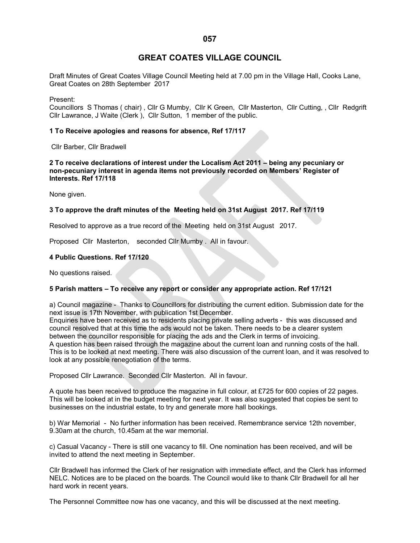# **GREAT COATES VILLAGE COUNCIL**

Draft Minutes of Great Coates Village Council Meeting held at 7.00 pm in the Village Hall, Cooks Lane, Great Coates on 28th September 2017

Present:

Councillors S Thomas ( chair) , Cllr G Mumby, Cllr K Green, Cllr Masterton, Cllr Cutting, , Cllr Redgrift Cllr Lawrance, J Waite (Clerk ), Cllr Sutton, 1 member of the public.

### **1 To Receive apologies and reasons for absence, Ref 17/117**

Cllr Barber, Cllr Bradwell

**2 To receive declarations of interest under the Localism Act 2011 – being any pecuniary or non-pecuniary interest in agenda items not previously recorded on Members' Register of Interests. Ref 17/118**

None given.

## **3 To approve the draft minutes of the Meeting held on 31st August 2017. Ref 17/119**

Resolved to approve as a true record of the Meeting held on 31st August 2017.

Proposed Cllr Masterton, seconded Cllr Mumby . All in favour.

#### **4 Public Questions. Ref 17/120**

No questions raised.

# **5 Parish matters – To receive any report or consider any appropriate action. Ref 17/121**

a) Council magazine - Thanks to Councillors for distributing the current edition. Submission date for the next issue is 17th November, with publication 1st December.

Enquiries have been received as to residents placing private selling adverts - this was discussed and council resolved that at this time the ads would not be taken. There needs to be a clearer system between the councillor responsible for placing the ads and the Clerk in terms of invoicing. A question has been raised through the magazine about the current loan and running costs of the hall. This is to be looked at next meeting. There was also discussion of the current loan, and it was resolved to look at any possible renegotiation of the terms.

Proposed Cllr Lawrance. Seconded Cllr Masterton. All in favour.

A quote has been received to produce the magazine in full colour, at £725 for 600 copies of 22 pages. This will be looked at in the budget meeting for next year. It was also suggested that copies be sent to businesses on the industrial estate, to try and generate more hall bookings.

b) War Memorial - No further information has been received. Remembrance service 12th november, 9.30am at the church, 10.45am at the war memorial.

c) Casual Vacancy - There is still one vacancy to fill. One nomination has been received, and will be invited to attend the next meeting in September.

Cllr Bradwell has informed the Clerk of her resignation with immediate effect, and the Clerk has informed NELC. Notices are to be placed on the boards. The Council would like to thank Cllr Bradwell for all her hard work in recent years.

The Personnel Committee now has one vacancy, and this will be discussed at the next meeting.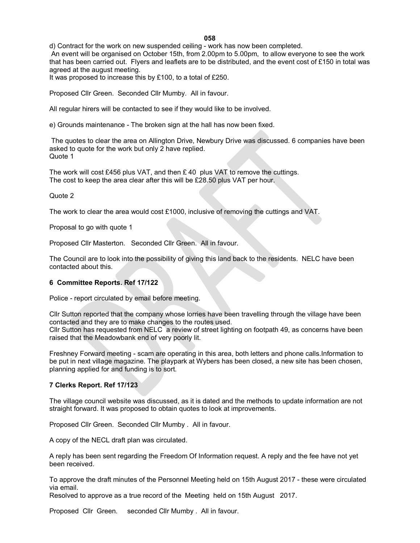**058**

d) Contract for the work on new suspended ceiling - work has now been completed.

An event will be organised on October 15th, from 2.00pm to 5.00pm, to allow everyone to see the work that has been carried out. Flyers and leaflets are to be distributed, and the event cost of £150 in total was agreed at the august meeting.

It was proposed to increase this by £100, to a total of £250.

Proposed Cllr Green. Seconded Cllr Mumby. All in favour.

All regular hirers will be contacted to see if they would like to be involved.

e) Grounds maintenance - The broken sign at the hall has now been fixed.

The quotes to clear the area on Allington Drive, Newbury Drive was discussed. 6 companies have been asked to quote for the work but only 2 have replied. Quote 1

The work will cost £456 plus VAT, and then  $£$  40 plus VAT to remove the cuttings. The cost to keep the area clear after this will be £28.50 plus VAT per hour.

Quote 2

The work to clear the area would cost  $£1000$ , inclusive of removing the cuttings and VAT.

Proposal to go with quote 1

Proposed Cllr Masterton. Seconded Cllr Green. All in favour.

The Council are to look into the possibility of giving this land back to the residents. NELC have been contacted about this.

## **6 Committee Reports. Ref 17/122**

Police - report circulated by email before meeting.

Cllr Sutton reported that the company whose lorries have been travelling through the village have been contacted and they are to make changes to the routes used.

Cllr Sutton has requested from NELC a review of street lighting on footpath 49, as concerns have been raised that the Meadowbank end of very poorly lit.

Freshney Forward meeting - scam are operating in this area, both letters and phone calls.Information to be put in next village magazine. The playpark at Wybers has been closed, a new site has been chosen, planning applied for and funding is to sort.

## **7 Clerks Report. Ref 17/123**

The village council website was discussed, as it is dated and the methods to update information are not straight forward. It was proposed to obtain quotes to look at improvements.

Proposed Cllr Green. Seconded Cllr Mumby . All in favour.

A copy of the NECL draft plan was circulated.

A reply has been sent regarding the Freedom Of Information request. A reply and the fee have not yet been received.

To approve the draft minutes of the Personnel Meeting held on 15th August 2017 - these were circulated via email.

Resolved to approve as a true record of the Meeting held on 15th August 2017.

Proposed Cllr Green. seconded Cllr Mumby . All in favour.